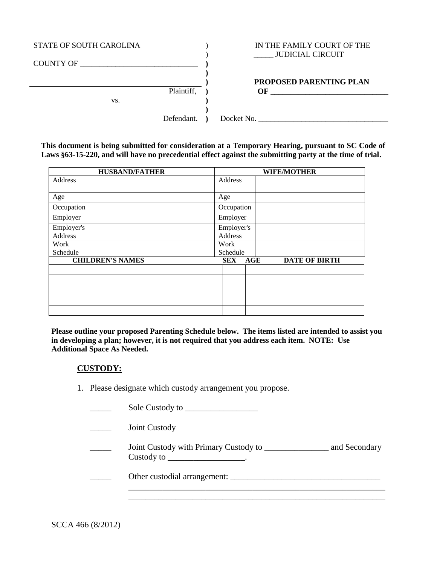| STATE OF SOUTH CAROLINA | IN THE FAMILY COURT OF THE<br><b>JUDICIAL CIRCUIT</b> |
|-------------------------|-------------------------------------------------------|
| <b>COUNTY OF</b>        |                                                       |
|                         | <b>PROPOSED PARENTING PLAN</b>                        |
| Plaintiff,              | OF                                                    |
| VS.                     |                                                       |
|                         |                                                       |
| Defendant.              | Docket No.                                            |

**This document is being submitted for consideration at a Temporary Hearing, pursuant to SC Code of Laws §63-15-220, and will have no precedential effect against the submitting party at the time of trial.** 

|            | <b>HUSBAND/FATHER</b>   | <b>WIFE/MOTHER</b> |            |  |                      |
|------------|-------------------------|--------------------|------------|--|----------------------|
| Address    |                         | Address            |            |  |                      |
|            |                         |                    |            |  |                      |
| Age        |                         | Age                |            |  |                      |
| Occupation |                         | Occupation         |            |  |                      |
| Employer   |                         | Employer           |            |  |                      |
| Employer's |                         | Employer's         |            |  |                      |
| Address    |                         | <b>Address</b>     |            |  |                      |
| Work       |                         | Work               |            |  |                      |
| Schedule   |                         | Schedule           |            |  |                      |
|            | <b>CHILDREN'S NAMES</b> | <b>SEX</b>         | <b>AGE</b> |  | <b>DATE OF BIRTH</b> |
|            |                         |                    |            |  |                      |
|            |                         |                    |            |  |                      |
|            |                         |                    |            |  |                      |
|            |                         |                    |            |  |                      |
|            |                         |                    |            |  |                      |

**Please outline your proposed Parenting Schedule below. The items listed are intended to assist you in developing a plan; however, it is not required that you address each item. NOTE: Use Additional Space As Needed.**

#### **CUSTODY:**

1. Please designate which custody arrangement you propose.

\_\_\_\_\_ Sole Custody to \_\_\_\_\_\_\_\_\_\_\_\_\_\_\_\_\_ \_\_\_\_\_ Joint Custody Joint Custody with Primary Custody to \_\_\_\_\_\_\_\_\_\_\_\_\_\_\_\_\_\_\_ and Secondary  $Custody to \fbox{---}$  . \_\_\_\_\_ Other custodial arrangement: \_\_\_\_\_\_\_\_\_\_\_\_\_\_\_\_\_\_\_\_\_\_\_\_\_\_\_\_\_\_\_\_\_\_\_ \_\_\_\_\_\_\_\_\_\_\_\_\_\_\_\_\_\_\_\_\_\_\_\_\_\_\_\_\_\_\_\_\_\_\_\_\_\_\_\_\_\_\_\_\_\_\_\_\_\_\_\_\_\_\_\_\_\_\_\_

\_\_\_\_\_\_\_\_\_\_\_\_\_\_\_\_\_\_\_\_\_\_\_\_\_\_\_\_\_\_\_\_\_\_\_\_\_\_\_\_\_\_\_\_\_\_\_\_\_\_\_\_\_\_\_\_\_\_\_\_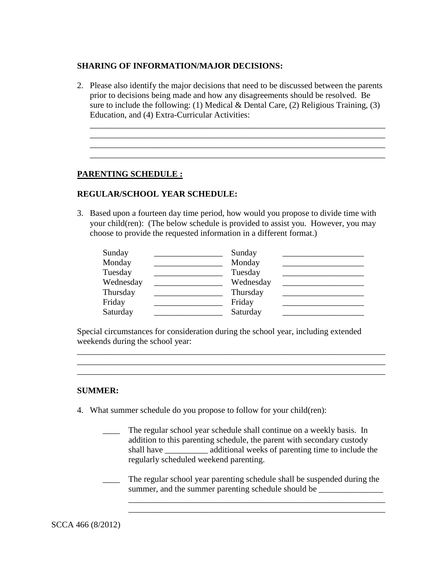### **SHARING OF INFORMATION/MAJOR DECISIONS:**

2. Please also identify the major decisions that need to be discussed between the parents prior to decisions being made and how any disagreements should be resolved. Be sure to include the following: (1) Medical  $\&$  Dental Care, (2) Religious Training, (3) Education, and (4) Extra-Curricular Activities:

\_\_\_\_\_\_\_\_\_\_\_\_\_\_\_\_\_\_\_\_\_\_\_\_\_\_\_\_\_\_\_\_\_\_\_\_\_\_\_\_\_\_\_\_\_\_\_\_\_\_\_\_\_\_\_\_\_\_\_\_\_\_\_\_\_\_\_\_\_ \_\_\_\_\_\_\_\_\_\_\_\_\_\_\_\_\_\_\_\_\_\_\_\_\_\_\_\_\_\_\_\_\_\_\_\_\_\_\_\_\_\_\_\_\_\_\_\_\_\_\_\_\_\_\_\_\_\_\_\_\_\_\_\_\_\_\_\_\_

#### **PARENTING SCHEDULE :**

## **REGULAR/SCHOOL YEAR SCHEDULE:**

3. Based upon a fourteen day time period, how would you propose to divide time with your child(ren): (The below schedule is provided to assist you. However, you may choose to provide the requested information in a different format.)

| Sunday    | Sunday    |  |
|-----------|-----------|--|
| Monday    | Monday    |  |
| Tuesday   | Tuesday   |  |
| Wednesday | Wednesday |  |
| Thursday  | Thursday  |  |
| Friday    | Friday    |  |
| Saturday  | Saturday  |  |

Special circumstances for consideration during the school year, including extended weekends during the school year:

\_\_\_\_\_\_\_\_\_\_\_\_\_\_\_\_\_\_\_\_\_\_\_\_\_\_\_\_\_\_\_\_\_\_\_\_\_\_\_\_\_\_\_\_\_\_\_\_\_\_\_\_\_\_\_\_\_\_\_\_\_\_\_\_\_\_\_\_\_\_\_\_

\_\_\_\_\_\_\_\_\_\_\_\_\_\_\_\_\_\_\_\_\_\_\_\_\_\_\_\_\_\_\_\_\_\_\_\_\_\_\_\_\_\_\_\_\_\_\_\_\_\_\_\_\_\_\_\_\_\_\_\_\_\_\_\_\_\_\_\_\_\_\_\_

#### **SUMMER:**

- 4. What summer schedule do you propose to follow for your child(ren):
	- \_\_\_\_ The regular school year schedule shall continue on a weekly basis. In addition to this parenting schedule, the parent with secondary custody shall have \_\_\_\_\_\_\_\_\_\_ additional weeks of parenting time to include the regularly scheduled weekend parenting.
	- The regular school year parenting schedule shall be suspended during the summer, and the summer parenting schedule should be

\_\_\_\_\_\_\_\_\_\_\_\_\_\_\_\_\_\_\_\_\_\_\_\_\_\_\_\_\_\_\_\_\_\_\_\_\_\_\_\_\_\_\_\_\_\_\_\_\_\_\_\_\_\_\_\_\_\_\_\_ \_\_\_\_\_\_\_\_\_\_\_\_\_\_\_\_\_\_\_\_\_\_\_\_\_\_\_\_\_\_\_\_\_\_\_\_\_\_\_\_\_\_\_\_\_\_\_\_\_\_\_\_\_\_\_\_\_\_\_\_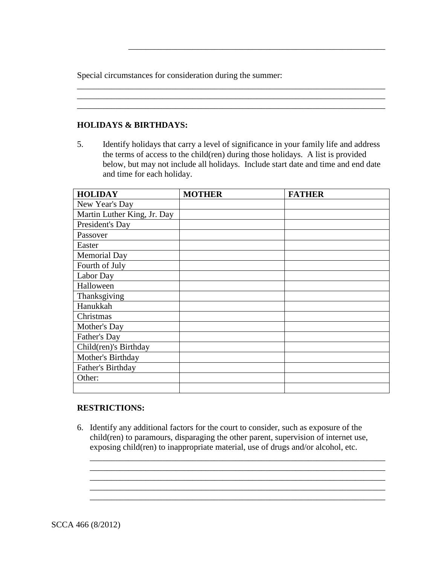Special circumstances for consideration during the summer:

### **HOLIDAYS & BIRTHDAYS:**

5. Identify holidays that carry a level of significance in your family life and address the terms of access to the child(ren) during those holidays. A list is provided below, but may not include all holidays. Include start date and time and end date and time for each holiday.

\_\_\_\_\_\_\_\_\_\_\_\_\_\_\_\_\_\_\_\_\_\_\_\_\_\_\_\_\_\_\_\_\_\_\_\_\_\_\_\_\_\_\_\_\_\_\_\_\_\_\_\_\_\_\_\_\_\_\_\_\_\_\_\_\_\_\_\_\_\_\_\_ \_\_\_\_\_\_\_\_\_\_\_\_\_\_\_\_\_\_\_\_\_\_\_\_\_\_\_\_\_\_\_\_\_\_\_\_\_\_\_\_\_\_\_\_\_\_\_\_\_\_\_\_\_\_\_\_\_\_\_\_\_\_\_\_\_\_\_\_\_\_\_\_ \_\_\_\_\_\_\_\_\_\_\_\_\_\_\_\_\_\_\_\_\_\_\_\_\_\_\_\_\_\_\_\_\_\_\_\_\_\_\_\_\_\_\_\_\_\_\_\_\_\_\_\_\_\_\_\_\_\_\_\_\_\_\_\_\_\_\_\_\_\_\_\_

\_\_\_\_\_\_\_\_\_\_\_\_\_\_\_\_\_\_\_\_\_\_\_\_\_\_\_\_\_\_\_\_\_\_\_\_\_\_\_\_\_\_\_\_\_\_\_\_\_\_\_\_\_\_\_\_\_\_\_\_

| <b>HOLIDAY</b>              | <b>MOTHER</b> | <b>FATHER</b> |
|-----------------------------|---------------|---------------|
| New Year's Day              |               |               |
| Martin Luther King, Jr. Day |               |               |
| President's Day             |               |               |
| Passover                    |               |               |
| Easter                      |               |               |
| Memorial Day                |               |               |
| Fourth of July              |               |               |
| Labor Day                   |               |               |
| Halloween                   |               |               |
| Thanksgiving                |               |               |
| Hanukkah                    |               |               |
| Christmas                   |               |               |
| Mother's Day                |               |               |
| Father's Day                |               |               |
| Child(ren)'s Birthday       |               |               |
| Mother's Birthday           |               |               |
| Father's Birthday           |               |               |
| Other:                      |               |               |
|                             |               |               |

#### **RESTRICTIONS:**

6. Identify any additional factors for the court to consider, such as exposure of the child(ren) to paramours, disparaging the other parent, supervision of internet use, exposing child(ren) to inappropriate material, use of drugs and/or alcohol, etc.

\_\_\_\_\_\_\_\_\_\_\_\_\_\_\_\_\_\_\_\_\_\_\_\_\_\_\_\_\_\_\_\_\_\_\_\_\_\_\_\_\_\_\_\_\_\_\_\_\_\_\_\_\_\_\_\_\_\_\_\_\_\_\_\_\_\_\_\_\_ \_\_\_\_\_\_\_\_\_\_\_\_\_\_\_\_\_\_\_\_\_\_\_\_\_\_\_\_\_\_\_\_\_\_\_\_\_\_\_\_\_\_\_\_\_\_\_\_\_\_\_\_\_\_\_\_\_\_\_\_\_\_\_\_\_\_\_\_\_

\_\_\_\_\_\_\_\_\_\_\_\_\_\_\_\_\_\_\_\_\_\_\_\_\_\_\_\_\_\_\_\_\_\_\_\_\_\_\_\_\_\_\_\_\_\_\_\_\_\_\_\_\_\_\_\_\_\_\_\_\_\_\_\_\_\_\_\_\_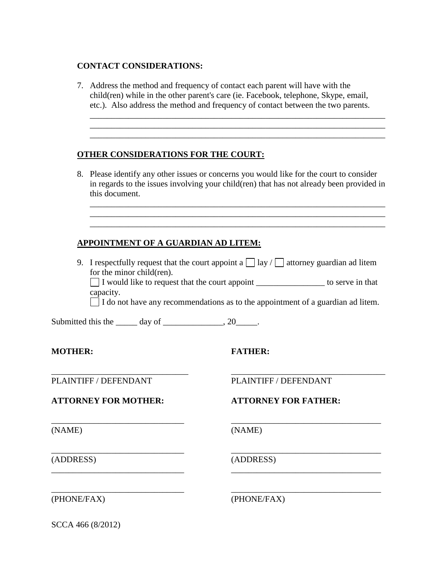#### **CONTACT CONSIDERATIONS:**

7. Address the method and frequency of contact each parent will have with the child(ren) while in the other parent's care (ie. Facebook, telephone, Skype, email, etc.). Also address the method and frequency of contact between the two parents.

\_\_\_\_\_\_\_\_\_\_\_\_\_\_\_\_\_\_\_\_\_\_\_\_\_\_\_\_\_\_\_\_\_\_\_\_\_\_\_\_\_\_\_\_\_\_\_\_\_\_\_\_\_\_\_\_\_\_\_\_\_\_\_\_\_\_\_\_\_ \_\_\_\_\_\_\_\_\_\_\_\_\_\_\_\_\_\_\_\_\_\_\_\_\_\_\_\_\_\_\_\_\_\_\_\_\_\_\_\_\_\_\_\_\_\_\_\_\_\_\_\_\_\_\_\_\_\_\_\_\_\_\_\_\_\_\_\_\_ \_\_\_\_\_\_\_\_\_\_\_\_\_\_\_\_\_\_\_\_\_\_\_\_\_\_\_\_\_\_\_\_\_\_\_\_\_\_\_\_\_\_\_\_\_\_\_\_\_\_\_\_\_\_\_\_\_\_\_\_\_\_\_\_\_\_\_\_\_

## **OTHER CONSIDERATIONS FOR THE COURT:**

8. Please identify any other issues or concerns you would like for the court to consider in regards to the issues involving your child(ren) that has not already been provided in this document.

\_\_\_\_\_\_\_\_\_\_\_\_\_\_\_\_\_\_\_\_\_\_\_\_\_\_\_\_\_\_\_\_\_\_\_\_\_\_\_\_\_\_\_\_\_\_\_\_\_\_\_\_\_\_\_\_\_\_\_\_\_\_\_\_\_\_\_\_\_ \_\_\_\_\_\_\_\_\_\_\_\_\_\_\_\_\_\_\_\_\_\_\_\_\_\_\_\_\_\_\_\_\_\_\_\_\_\_\_\_\_\_\_\_\_\_\_\_\_\_\_\_\_\_\_\_\_\_\_\_\_\_\_\_\_\_\_\_\_ \_\_\_\_\_\_\_\_\_\_\_\_\_\_\_\_\_\_\_\_\_\_\_\_\_\_\_\_\_\_\_\_\_\_\_\_\_\_\_\_\_\_\_\_\_\_\_\_\_\_\_\_\_\_\_\_\_\_\_\_\_\_\_\_\_\_\_\_\_

# **APPOINTMENT OF A GUARDIAN AD LITEM:**

9. I respectfully request that the court appoint a  $\Box$  lay /  $\Box$  attorney guardian ad litem for the minor child(ren).

\_\_\_\_\_\_\_\_\_\_\_\_\_\_\_\_\_\_\_\_\_\_\_\_\_\_\_\_\_\_\_\_ \_\_\_\_\_\_\_\_\_\_\_\_\_\_\_\_\_\_\_\_\_\_\_\_\_\_\_\_\_\_\_\_\_\_\_\_

\_\_\_\_\_\_\_\_\_\_\_\_\_\_\_\_\_\_\_\_\_\_\_\_\_\_\_\_\_\_\_ \_\_\_\_\_\_\_\_\_\_\_\_\_\_\_\_\_\_\_\_\_\_\_\_\_\_\_\_\_\_\_\_\_\_\_

\_\_\_\_\_\_\_\_\_\_\_\_\_\_\_\_\_\_\_\_\_\_\_\_\_\_\_\_\_\_\_ \_\_\_\_\_\_\_\_\_\_\_\_\_\_\_\_\_\_\_\_\_\_\_\_\_\_\_\_\_\_\_\_\_\_\_

\_\_\_\_\_\_\_\_\_\_\_\_\_\_\_\_\_\_\_\_\_\_\_\_\_\_\_\_\_\_\_ \_\_\_\_\_\_\_\_\_\_\_\_\_\_\_\_\_\_\_\_\_\_\_\_\_\_\_\_\_\_\_\_\_\_\_

\_\_\_\_\_\_\_\_\_\_\_\_\_\_\_\_\_\_\_\_\_\_\_\_\_\_\_\_\_\_\_ \_\_\_\_\_\_\_\_\_\_\_\_\_\_\_\_\_\_\_\_\_\_\_\_\_\_\_\_\_\_\_\_\_\_\_

I would like to request that the court appoint \_\_\_\_\_\_\_\_\_\_\_\_\_\_\_\_ to serve in that capacity.

 $\Box$  I do not have any recommendations as to the appointment of a guardian ad litem.

Submitted this the  $\frac{1}{\sqrt{2}}$  day of  $\frac{1}{\sqrt{2}}$  .

## **MOTHER: FATHER:**

PLAINTIFF / DEFENDANT PLAINTIFF / DEFENDANT

**ATTORNEY FOR MOTHER: ATTORNEY FOR FATHER:**

(NAME) (NAME)

(ADDRESS) (ADDRESS)

(PHONE/FAX) (PHONE/FAX)

SCCA 466 (8/2012)